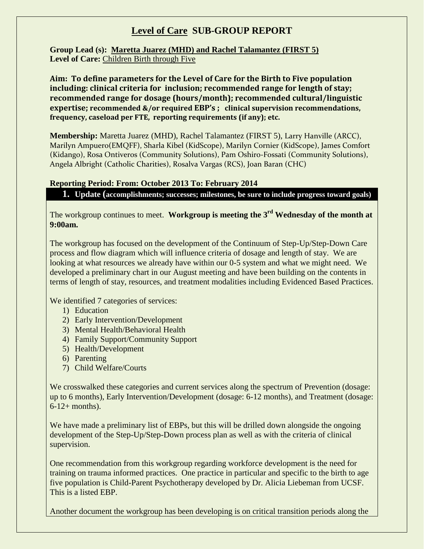## **Level of Care SUB-GROUP REPORT**

**Group Lead (s): Maretta Juarez (MHD) and Rachel Talamantez (FIRST 5) Level of Care:** Children Birth through Five

**Aim: To define parameters for the Level of Care for the Birth to Five population including: clinical criteria for inclusion; recommended range for length of stay; recommended range for dosage (hours/month); recommended cultural/linguistic expertise; recommended &/or required EBP's ; clinical supervision recommendations, frequency, caseload per FTE, reporting requirements (if any); etc.** 

**Membership:** Maretta Juarez (MHD), Rachel Talamantez (FIRST 5), Larry Hanville (ARCC), Marilyn Ampuero(EMQFF), Sharla Kibel (KidScope), Marilyn Cornier (KidScope), James Comfort (Kidango), Rosa Ontiveros (Community Solutions), Pam Oshiro-Fossati (Community Solutions), Angela Albright (Catholic Charities), Rosalva Vargas (RCS), Joan Baran (CHC)

## **Reporting Period: From: October 2013 To: February 2014**

**1. Update (accomplishments; successes; milestones, be sure to include progress toward goals)**

The workgroup continues to meet. **Workgroup is meeting the 3rd Wednesday of the month at 9:00am.**

The workgroup has focused on the development of the Continuum of Step-Up/Step-Down Care process and flow diagram which will influence criteria of dosage and length of stay. We are looking at what resources we already have within our 0-5 system and what we might need. We developed a preliminary chart in our August meeting and have been building on the contents in terms of length of stay, resources, and treatment modalities including Evidenced Based Practices.

We identified 7 categories of services:

- 1) Education
- 2) Early Intervention/Development
- 3) Mental Health/Behavioral Health
- 4) Family Support/Community Support
- 5) Health/Development
- 6) Parenting
- 7) Child Welfare/Courts

We crosswalked these categories and current services along the spectrum of Prevention (dosage: up to 6 months), Early Intervention/Development (dosage: 6-12 months), and Treatment (dosage:  $6-12+$  months).

We have made a preliminary list of EBPs, but this will be drilled down alongside the ongoing development of the Step-Up/Step-Down process plan as well as with the criteria of clinical supervision.

One recommendation from this workgroup regarding workforce development is the need for training on trauma informed practices. One practice in particular and specific to the birth to age five population is Child-Parent Psychotherapy developed by Dr. Alicia Liebeman from UCSF. This is a listed EBP.

Another document the workgroup has been developing is on critical transition periods along the